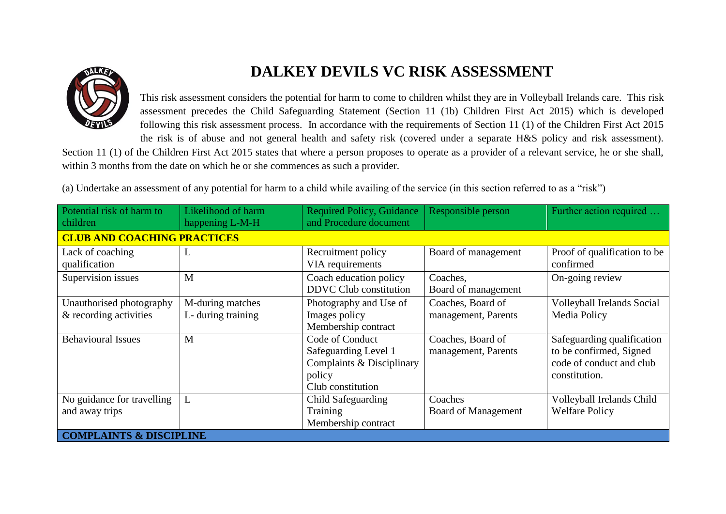

## **DALKEY DEVILS VC RISK ASSESSMENT**

This risk assessment considers the potential for harm to come to children whilst they are in Volleyball Irelands care. This risk assessment precedes the Child Safeguarding Statement (Section 11 (1b) Children First Act 2015) which is developed following this risk assessment process. In accordance with the requirements of Section 11 (1) of the Children First Act 2015 the risk is of abuse and not general health and safety risk (covered under a separate H&S policy and risk assessment).

Section 11 (1) of the Children First Act 2015 states that where a person proposes to operate as a provider of a relevant service, he or she shall, within 3 months from the date on which he or she commences as such a provider.

(a) Undertake an assessment of any potential for harm to a child while availing of the service (in this section referred to as a "risk")

| Potential risk of harm to          | Likelihood of harm                 | <b>Required Policy, Guidance</b><br>and Procedure document | Responsible person         | Further action required      |  |  |
|------------------------------------|------------------------------------|------------------------------------------------------------|----------------------------|------------------------------|--|--|
| children                           | happening L-M-H                    |                                                            |                            |                              |  |  |
|                                    | <b>CLUB AND COACHING PRACTICES</b> |                                                            |                            |                              |  |  |
| Lack of coaching                   | L                                  | Recruitment policy                                         | Board of management        | Proof of qualification to be |  |  |
| qualification                      |                                    | VIA requirements                                           |                            | confirmed                    |  |  |
| Supervision issues                 | M                                  | Coach education policy                                     | Coaches,                   | On-going review              |  |  |
|                                    |                                    | <b>DDVC</b> Club constitution                              | Board of management        |                              |  |  |
| Unauthorised photography           | M-during matches                   | Photography and Use of                                     | Coaches, Board of          | Volleyball Irelands Social   |  |  |
| & recording activities             | L- during training                 | Images policy                                              | management, Parents        | Media Policy                 |  |  |
|                                    |                                    | Membership contract                                        |                            |                              |  |  |
| <b>Behavioural Issues</b>          | M                                  | Code of Conduct                                            | Coaches, Board of          | Safeguarding qualification   |  |  |
|                                    |                                    | Safeguarding Level 1                                       | management, Parents        | to be confirmed, Signed      |  |  |
|                                    |                                    | Complaints & Disciplinary                                  |                            | code of conduct and club     |  |  |
|                                    |                                    | policy                                                     |                            | constitution.                |  |  |
|                                    |                                    | Club constitution                                          |                            |                              |  |  |
| No guidance for travelling         | L                                  | Child Safeguarding                                         | Coaches                    | Volleyball Irelands Child    |  |  |
| and away trips                     |                                    | Training                                                   | <b>Board of Management</b> | <b>Welfare Policy</b>        |  |  |
|                                    |                                    | Membership contract                                        |                            |                              |  |  |
| <b>COMPLAINTS &amp; DISCIPLINE</b> |                                    |                                                            |                            |                              |  |  |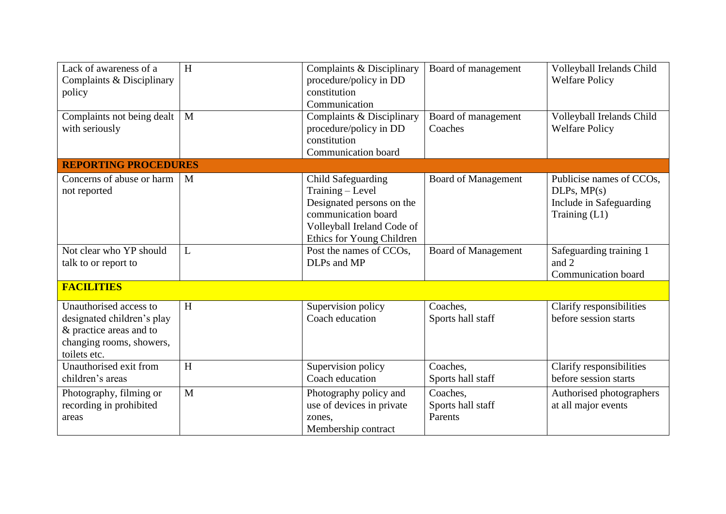| Lack of awareness of a<br>Complaints & Disciplinary<br>policy                                                               | H              | Complaints & Disciplinary<br>procedure/policy in DD<br>constitution<br>Communication                                                                  | Board of management                      | Volleyball Irelands Child<br><b>Welfare Policy</b>                                  |
|-----------------------------------------------------------------------------------------------------------------------------|----------------|-------------------------------------------------------------------------------------------------------------------------------------------------------|------------------------------------------|-------------------------------------------------------------------------------------|
| Complaints not being dealt<br>with seriously                                                                                | $\mathbf{M}$   | Complaints & Disciplinary<br>procedure/policy in DD<br>constitution<br><b>Communication</b> board                                                     | Board of management<br>Coaches           | Volleyball Irelands Child<br><b>Welfare Policy</b>                                  |
| <b>REPORTING PROCEDURES</b>                                                                                                 |                |                                                                                                                                                       |                                          |                                                                                     |
| Concerns of abuse or harm<br>not reported                                                                                   | M              | Child Safeguarding<br>Training - Level<br>Designated persons on the<br>communication board<br>Volleyball Ireland Code of<br>Ethics for Young Children | <b>Board of Management</b>               | Publicise names of CCOs,<br>DLPs, MP(s)<br>Include in Safeguarding<br>Training (L1) |
| Not clear who YP should<br>talk to or report to                                                                             | L              | Post the names of CCOs,<br>DLPs and MP                                                                                                                | <b>Board of Management</b>               | Safeguarding training 1<br>and 2<br>Communication board                             |
| <b>FACILITIES</b>                                                                                                           |                |                                                                                                                                                       |                                          |                                                                                     |
| Unauthorised access to<br>designated children's play<br>& practice areas and to<br>changing rooms, showers,<br>toilets etc. | H              | Supervision policy<br>Coach education                                                                                                                 | Coaches,<br>Sports hall staff            | Clarify responsibilities<br>before session starts                                   |
| Unauthorised exit from<br>children's areas                                                                                  | $\overline{H}$ | Supervision policy<br>Coach education                                                                                                                 | Coaches,<br>Sports hall staff            | Clarify responsibilities<br>before session starts                                   |
| Photography, filming or<br>recording in prohibited<br>areas                                                                 | $\mathbf{M}$   | Photography policy and<br>use of devices in private<br>zones.<br>Membership contract                                                                  | Coaches,<br>Sports hall staff<br>Parents | Authorised photographers<br>at all major events                                     |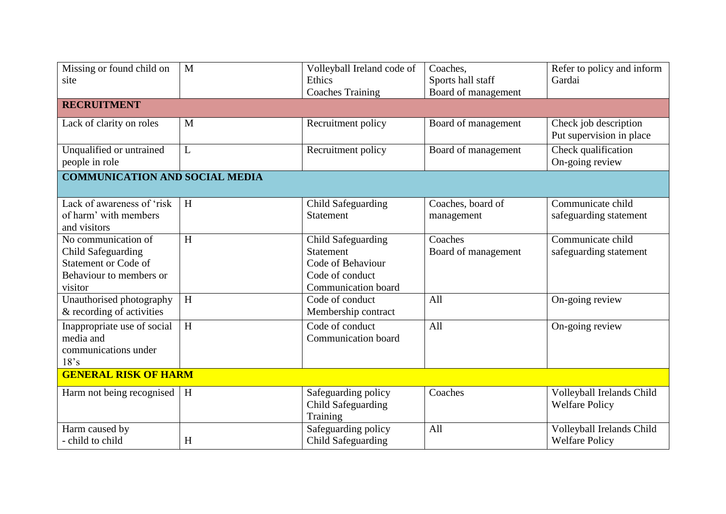| Missing or found child on<br>site                                                                              | M            | Volleyball Ireland code of<br>Ethics<br><b>Coaches Training</b>                                              | Coaches,<br>Sports hall staff<br>Board of management | Refer to policy and inform<br>Gardai               |  |
|----------------------------------------------------------------------------------------------------------------|--------------|--------------------------------------------------------------------------------------------------------------|------------------------------------------------------|----------------------------------------------------|--|
| <b>RECRUITMENT</b>                                                                                             |              |                                                                                                              |                                                      |                                                    |  |
| Lack of clarity on roles                                                                                       | M            | Recruitment policy                                                                                           | Board of management                                  | Check job description<br>Put supervision in place  |  |
| Unqualified or untrained<br>people in role                                                                     | $\mathbf{L}$ | Recruitment policy                                                                                           | Board of management                                  | Check qualification<br>On-going review             |  |
| <b>COMMUNICATION AND SOCIAL MEDIA</b>                                                                          |              |                                                                                                              |                                                      |                                                    |  |
| Lack of awareness of 'risk<br>of harm' with members<br>and visitors                                            | H            | Child Safeguarding<br><b>Statement</b>                                                                       | Coaches, board of<br>management                      | Communicate child<br>safeguarding statement        |  |
| No communication of<br>Child Safeguarding<br><b>Statement or Code of</b><br>Behaviour to members or<br>visitor | H            | Child Safeguarding<br><b>Statement</b><br>Code of Behaviour<br>Code of conduct<br><b>Communication</b> board | Coaches<br>Board of management                       | Communicate child<br>safeguarding statement        |  |
| Unauthorised photography<br>& recording of activities                                                          | H            | Code of conduct<br>Membership contract                                                                       | All                                                  | $\overline{On}$ -going review                      |  |
| Inappropriate use of social<br>media and<br>communications under<br>18's                                       | H            | Code of conduct<br>Communication board                                                                       | All                                                  | On-going review                                    |  |
| <b>GENERAL RISK OF HARM</b>                                                                                    |              |                                                                                                              |                                                      |                                                    |  |
| Harm not being recognised                                                                                      | H            | Safeguarding policy<br><b>Child Safeguarding</b><br>Training                                                 | Coaches                                              | Volleyball Irelands Child<br><b>Welfare Policy</b> |  |
| Harm caused by<br>- child to child                                                                             | H            | Safeguarding policy<br>Child Safeguarding                                                                    | All                                                  | Volleyball Irelands Child<br><b>Welfare Policy</b> |  |